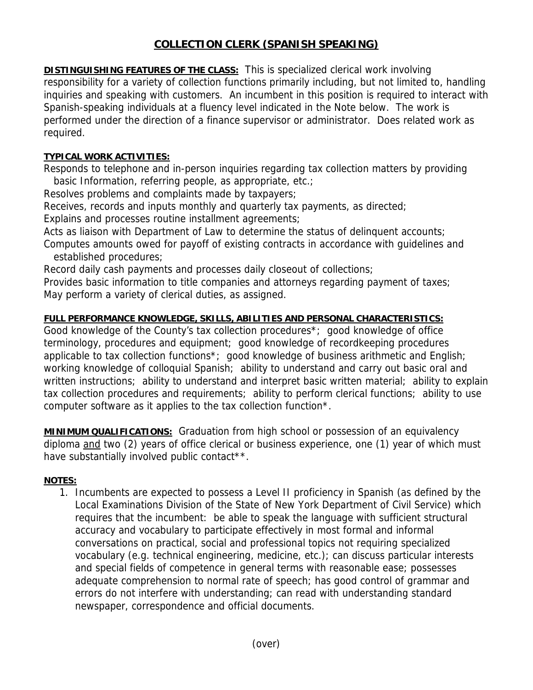## **COLLECTION CLERK (SPANISH SPEAKING)**

**DISTINGUISHING FEATURES OF THE CLASS:** This is specialized clerical work involving responsibility for a variety of collection functions primarily including, but not limited to, handling inquiries and speaking with customers. An incumbent in this position is required to interact with Spanish-speaking individuals at a fluency level indicated in the Note below. The work is performed under the direction of a finance supervisor or administrator. Does related work as required.

## **TYPICAL WORK ACTIVITIES:**

Responds to telephone and in-person inquiries regarding tax collection matters by providing basic Information, referring people, as appropriate, etc.;

Resolves problems and complaints made by taxpayers;

Receives, records and inputs monthly and quarterly tax payments, as directed;

Explains and processes routine installment agreements;

Acts as liaison with Department of Law to determine the status of delinguent accounts; Computes amounts owed for payoff of existing contracts in accordance with guidelines and established procedures;

Record daily cash payments and processes daily closeout of collections;

Provides basic information to title companies and attorneys regarding payment of taxes; May perform a variety of clerical duties, as assigned.

## **FULL PERFORMANCE KNOWLEDGE, SKILLS, ABILITIES AND PERSONAL CHARACTERISTICS:**

Good knowledge of the County's tax collection procedures\*; good knowledge of office terminology, procedures and equipment; good knowledge of recordkeeping procedures applicable to tax collection functions\*; good knowledge of business arithmetic and English; working knowledge of colloquial Spanish; ability to understand and carry out basic oral and written instructions; ability to understand and interpret basic written material; ability to explain tax collection procedures and requirements; ability to perform clerical functions; ability to use computer software as it applies to the tax collection function\*.

**MINIMUM QUALIFICATIONS:** Graduation from high school or possession of an equivalency diploma and two (2) years of office clerical or business experience, one (1) year of which must have substantially involved public contact\*\*.

## **NOTES:**

1. Incumbents are expected to possess a Level II proficiency in Spanish (as defined by the Local Examinations Division of the State of New York Department of Civil Service) which requires that the incumbent: be able to speak the language with sufficient structural accuracy and vocabulary to participate effectively in most formal and informal conversations on practical, social and professional topics not requiring specialized vocabulary (e.g. technical engineering, medicine, etc.); can discuss particular interests and special fields of competence in general terms with reasonable ease; possesses adequate comprehension to normal rate of speech; has good control of grammar and errors do not interfere with understanding; can read with understanding standard newspaper, correspondence and official documents.